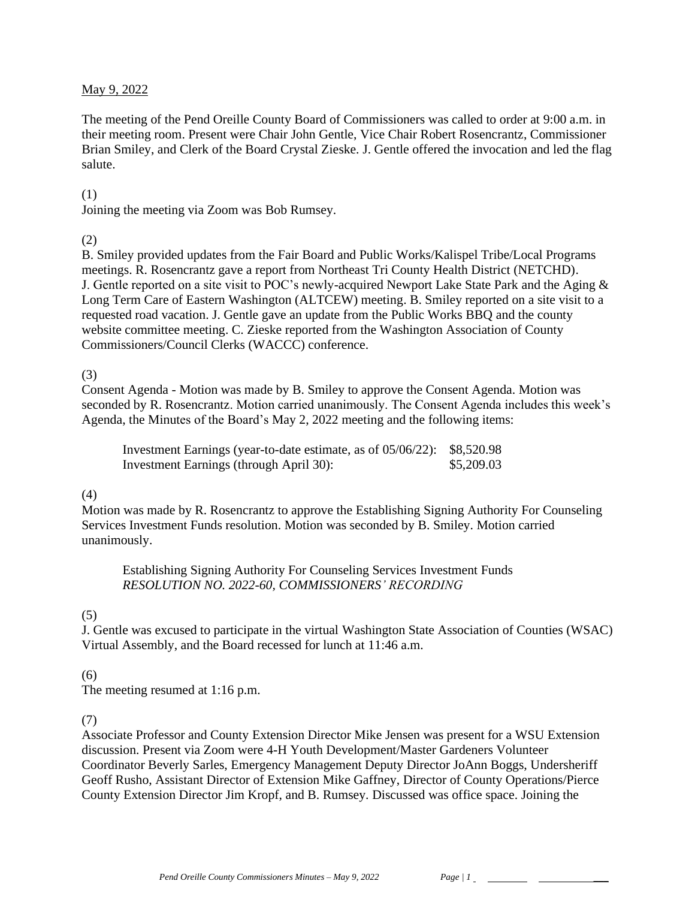#### May 9, 2022

The meeting of the Pend Oreille County Board of Commissioners was called to order at 9:00 a.m. in their meeting room. Present were Chair John Gentle, Vice Chair Robert Rosencrantz, Commissioner Brian Smiley, and Clerk of the Board Crystal Zieske. J. Gentle offered the invocation and led the flag salute.

#### (1)

Joining the meeting via Zoom was Bob Rumsey.

### (2)

B. Smiley provided updates from the Fair Board and Public Works/Kalispel Tribe/Local Programs meetings. R. Rosencrantz gave a report from Northeast Tri County Health District (NETCHD). J. Gentle reported on a site visit to POC's newly-acquired Newport Lake State Park and the Aging & Long Term Care of Eastern Washington (ALTCEW) meeting. B. Smiley reported on a site visit to a requested road vacation. J. Gentle gave an update from the Public Works BBQ and the county website committee meeting. C. Zieske reported from the Washington Association of County Commissioners/Council Clerks (WACCC) conference.

# (3)

Consent Agenda - Motion was made by B. Smiley to approve the Consent Agenda. Motion was seconded by R. Rosencrantz. Motion carried unanimously. The Consent Agenda includes this week's Agenda, the Minutes of the Board's May 2, 2022 meeting and the following items:

Investment Earnings (year-to-date estimate, as of 05/06/22): \$8,520.98 Investment Earnings (through April 30): \$5,209.03

#### (4)

Motion was made by R. Rosencrantz to approve the Establishing Signing Authority For Counseling Services Investment Funds resolution. Motion was seconded by B. Smiley. Motion carried unanimously.

Establishing Signing Authority For Counseling Services Investment Funds *RESOLUTION NO. 2022-60, COMMISSIONERS' RECORDING* 

# (5)

J. Gentle was excused to participate in the virtual Washington State Association of Counties (WSAC) Virtual Assembly, and the Board recessed for lunch at 11:46 a.m.

# (6)

The meeting resumed at 1:16 p.m.

#### (7)

Associate Professor and County Extension Director Mike Jensen was present for a WSU Extension discussion. Present via Zoom were 4-H Youth Development/Master Gardeners Volunteer Coordinator Beverly Sarles, Emergency Management Deputy Director JoAnn Boggs, Undersheriff Geoff Rusho, Assistant Director of Extension Mike Gaffney, Director of County Operations/Pierce County Extension Director Jim Kropf, and B. Rumsey. Discussed was office space. Joining the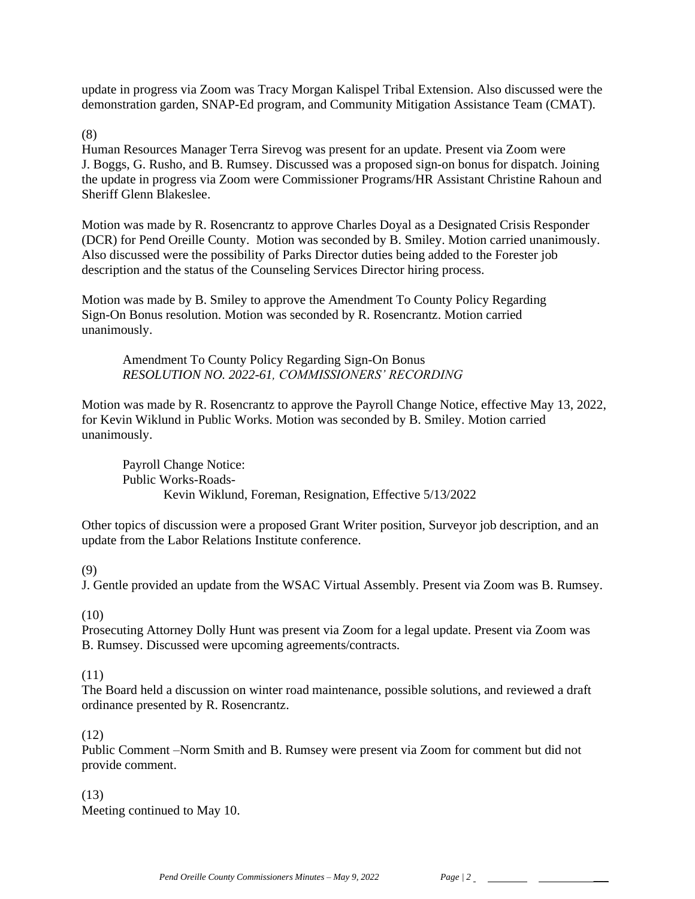update in progress via Zoom was Tracy Morgan Kalispel Tribal Extension. Also discussed were the demonstration garden, SNAP-Ed program, and Community Mitigation Assistance Team (CMAT).

(8)

Human Resources Manager Terra Sirevog was present for an update. Present via Zoom were J. Boggs, G. Rusho, and B. Rumsey. Discussed was a proposed sign-on bonus for dispatch. Joining the update in progress via Zoom were Commissioner Programs/HR Assistant Christine Rahoun and Sheriff Glenn Blakeslee.

Motion was made by R. Rosencrantz to approve Charles Doyal as a Designated Crisis Responder (DCR) for Pend Oreille County. Motion was seconded by B. Smiley. Motion carried unanimously. Also discussed were the possibility of Parks Director duties being added to the Forester job description and the status of the Counseling Services Director hiring process.

Motion was made by B. Smiley to approve the Amendment To County Policy Regarding Sign-On Bonus resolution. Motion was seconded by R. Rosencrantz. Motion carried unanimously.

Amendment To County Policy Regarding Sign-On Bonus *RESOLUTION NO. 2022-61, COMMISSIONERS' RECORDING* 

Motion was made by R. Rosencrantz to approve the Payroll Change Notice, effective May 13, 2022, for Kevin Wiklund in Public Works. Motion was seconded by B. Smiley. Motion carried unanimously.

Payroll Change Notice: Public Works-Roads-Kevin Wiklund, Foreman, Resignation, Effective 5/13/2022

Other topics of discussion were a proposed Grant Writer position, Surveyor job description, and an update from the Labor Relations Institute conference.

(9)

J. Gentle provided an update from the WSAC Virtual Assembly. Present via Zoom was B. Rumsey.

 $(10)$ 

Prosecuting Attorney Dolly Hunt was present via Zoom for a legal update. Present via Zoom was B. Rumsey. Discussed were upcoming agreements/contracts.

# (11)

The Board held a discussion on winter road maintenance, possible solutions, and reviewed a draft ordinance presented by R. Rosencrantz.

# (12)

Public Comment –Norm Smith and B. Rumsey were present via Zoom for comment but did not provide comment.

(13) Meeting continued to May 10.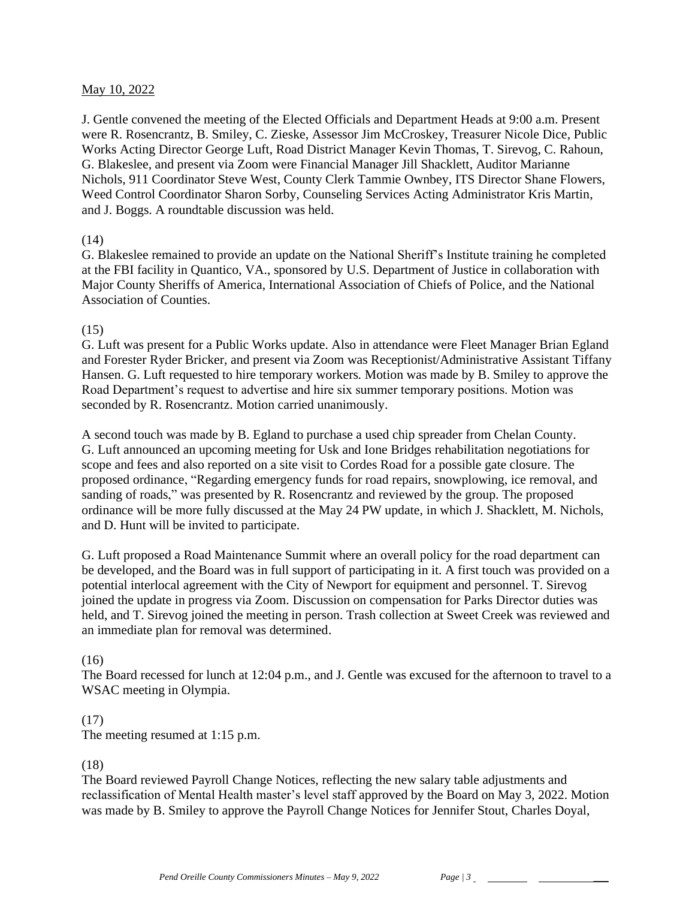#### May 10, 2022

J. Gentle convened the meeting of the Elected Officials and Department Heads at 9:00 a.m. Present were R. Rosencrantz, B. Smiley, C. Zieske, Assessor Jim McCroskey, Treasurer Nicole Dice, Public Works Acting Director George Luft, Road District Manager Kevin Thomas, T. Sirevog, C. Rahoun, G. Blakeslee, and present via Zoom were Financial Manager Jill Shacklett, Auditor Marianne Nichols, 911 Coordinator Steve West, County Clerk Tammie Ownbey, ITS Director Shane Flowers, Weed Control Coordinator Sharon Sorby, Counseling Services Acting Administrator Kris Martin, and J. Boggs. A roundtable discussion was held.

### (14)

G. Blakeslee remained to provide an update on the National Sheriff's Institute training he completed at the FBI facility in Quantico, VA., sponsored by U.S. Department of Justice in collaboration with Major County Sheriffs of America, International Association of Chiefs of Police, and the National Association of Counties.

# (15)

G. Luft was present for a Public Works update. Also in attendance were Fleet Manager Brian Egland and Forester Ryder Bricker, and present via Zoom was Receptionist/Administrative Assistant Tiffany Hansen. G. Luft requested to hire temporary workers. Motion was made by B. Smiley to approve the Road Department's request to advertise and hire six summer temporary positions. Motion was seconded by R. Rosencrantz. Motion carried unanimously.

A second touch was made by B. Egland to purchase a used chip spreader from Chelan County. G. Luft announced an upcoming meeting for Usk and Ione Bridges rehabilitation negotiations for scope and fees and also reported on a site visit to Cordes Road for a possible gate closure. The proposed ordinance, "Regarding emergency funds for road repairs, snowplowing, ice removal, and sanding of roads," was presented by R. Rosencrantz and reviewed by the group. The proposed ordinance will be more fully discussed at the May 24 PW update, in which J. Shacklett, M. Nichols, and D. Hunt will be invited to participate.

G. Luft proposed a Road Maintenance Summit where an overall policy for the road department can be developed, and the Board was in full support of participating in it. A first touch was provided on a potential interlocal agreement with the City of Newport for equipment and personnel. T. Sirevog joined the update in progress via Zoom. Discussion on compensation for Parks Director duties was held, and T. Sirevog joined the meeting in person. Trash collection at Sweet Creek was reviewed and an immediate plan for removal was determined.

# (16)

The Board recessed for lunch at 12:04 p.m., and J. Gentle was excused for the afternoon to travel to a WSAC meeting in Olympia.

# (17)

The meeting resumed at 1:15 p.m.

# (18)

The Board reviewed Payroll Change Notices, reflecting the new salary table adjustments and reclassification of Mental Health master's level staff approved by the Board on May 3, 2022. Motion was made by B. Smiley to approve the Payroll Change Notices for Jennifer Stout, Charles Doyal,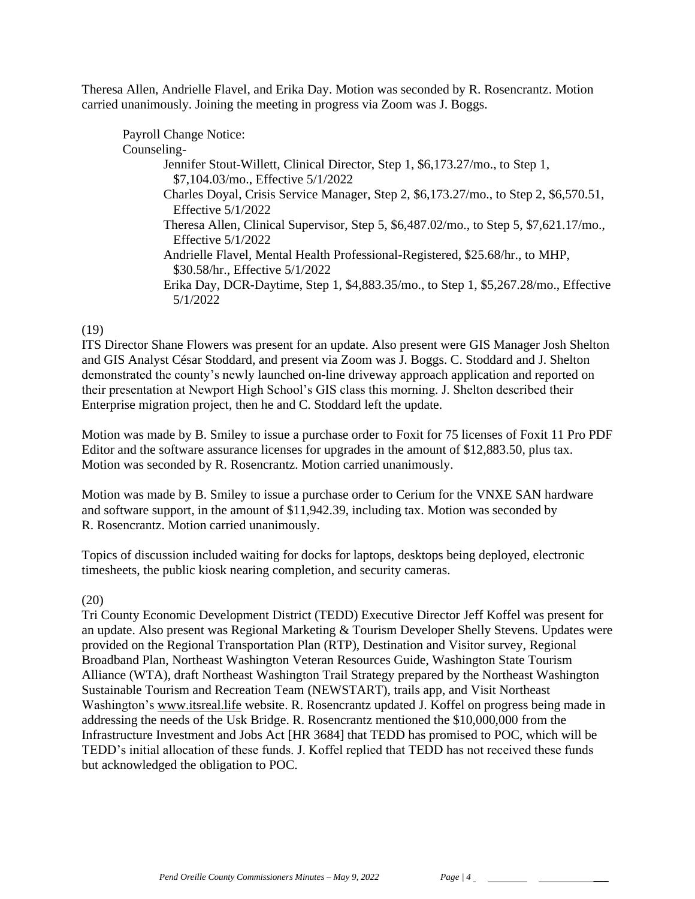Theresa Allen, Andrielle Flavel, and Erika Day. Motion was seconded by R. Rosencrantz. Motion carried unanimously. Joining the meeting in progress via Zoom was J. Boggs.

### (19)

ITS Director Shane Flowers was present for an update. Also present were GIS Manager Josh Shelton and GIS Analyst César Stoddard, and present via Zoom was J. Boggs. C. Stoddard and J. Shelton demonstrated the county's newly launched on-line driveway approach application and reported on their presentation at Newport High School's GIS class this morning. J. Shelton described their Enterprise migration project, then he and C. Stoddard left the update.

Motion was made by B. Smiley to issue a purchase order to Foxit for 75 licenses of Foxit 11 Pro PDF Editor and the software assurance licenses for upgrades in the amount of \$12,883.50, plus tax. Motion was seconded by R. Rosencrantz. Motion carried unanimously.

Motion was made by B. Smiley to issue a purchase order to Cerium for the VNXE SAN hardware and software support, in the amount of \$11,942.39, including tax. Motion was seconded by R. Rosencrantz. Motion carried unanimously.

Topics of discussion included waiting for docks for laptops, desktops being deployed, electronic timesheets, the public kiosk nearing completion, and security cameras.

#### (20)

Tri County Economic Development District (TEDD) Executive Director Jeff Koffel was present for an update. Also present was Regional Marketing & Tourism Developer Shelly Stevens. Updates were provided on the Regional Transportation Plan (RTP), Destination and Visitor survey, Regional Broadband Plan, Northeast Washington Veteran Resources Guide, Washington State Tourism Alliance (WTA), draft Northeast Washington Trail Strategy prepared by the Northeast Washington Sustainable Tourism and Recreation Team (NEWSTART), trails app, and Visit Northeast Washington's [www.itsreal.life](http://www.itsreal.life/) website. R. Rosencrantz updated J. Koffel on progress being made in addressing the needs of the Usk Bridge. R. Rosencrantz mentioned the \$10,000,000 from the Infrastructure Investment and Jobs Act [HR 3684] that TEDD has promised to POC, which will be TEDD's initial allocation of these funds. J. Koffel replied that TEDD has not received these funds but acknowledged the obligation to POC.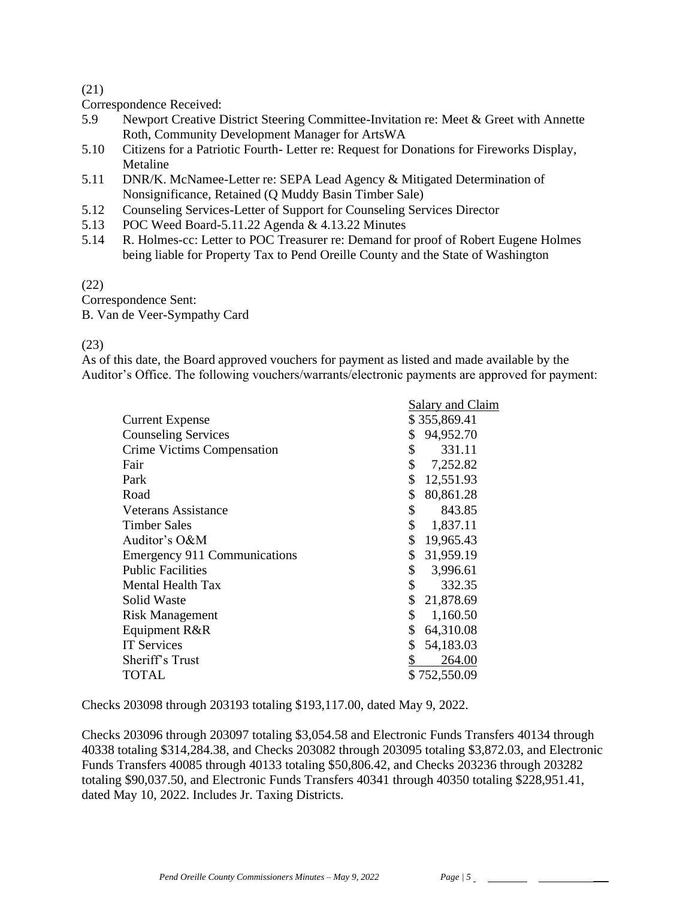### (21)

Correspondence Received:

- 5.9 Newport Creative District Steering Committee-Invitation re: Meet & Greet with Annette Roth, Community Development Manager for ArtsWA
- 5.10 Citizens for a Patriotic Fourth- Letter re: Request for Donations for Fireworks Display, Metaline
- 5.11 DNR/K. McNamee-Letter re: SEPA Lead Agency & Mitigated Determination of Nonsignificance, Retained (Q Muddy Basin Timber Sale)
- 5.12 Counseling Services-Letter of Support for Counseling Services Director
- 5.13 POC Weed Board-5.11.22 Agenda & 4.13.22 Minutes
- 5.14 R. Holmes-cc: Letter to POC Treasurer re: Demand for proof of Robert Eugene Holmes being liable for Property Tax to Pend Oreille County and the State of Washington

(22)

Correspondence Sent: B. Van de Veer-Sympathy Card

### (23)

As of this date, the Board approved vouchers for payment as listed and made available by the Auditor's Office. The following vouchers/warrants/electronic payments are approved for payment:

|                                     | Salary and Claim |              |
|-------------------------------------|------------------|--------------|
| <b>Current Expense</b>              |                  | \$355,869.41 |
| <b>Counseling Services</b>          | \$               | 94,952.70    |
| <b>Crime Victims Compensation</b>   | \$               | 331.11       |
| Fair                                | \$               | 7,252.82     |
| Park                                | \$               | 12,551.93    |
| Road                                | \$               | 80,861.28    |
| Veterans Assistance                 | \$               | 843.85       |
| <b>Timber Sales</b>                 | \$               | 1,837.11     |
| Auditor's O&M                       | \$               | 19,965.43    |
| <b>Emergency 911 Communications</b> | \$               | 31,959.19    |
| <b>Public Facilities</b>            | \$               | 3,996.61     |
| Mental Health Tax                   | \$               | 332.35       |
| Solid Waste                         | \$               | 21,878.69    |
| <b>Risk Management</b>              | \$               | 1,160.50     |
| Equipment R&R                       | \$               | 64,310.08    |
| <b>IT Services</b>                  | \$               | 54,183.03    |
| Sheriff's Trust                     | \$               | 264.00       |
| TOTAL                               |                  | \$752,550.09 |
|                                     |                  |              |

Checks 203098 through 203193 totaling \$193,117.00, dated May 9, 2022.

Checks 203096 through 203097 totaling \$3,054.58 and Electronic Funds Transfers 40134 through 40338 totaling \$314,284.38, and Checks 203082 through 203095 totaling \$3,872.03, and Electronic Funds Transfers 40085 through 40133 totaling \$50,806.42, and Checks 203236 through 203282 totaling \$90,037.50, and Electronic Funds Transfers 40341 through 40350 totaling \$228,951.41, dated May 10, 2022. Includes Jr. Taxing Districts.